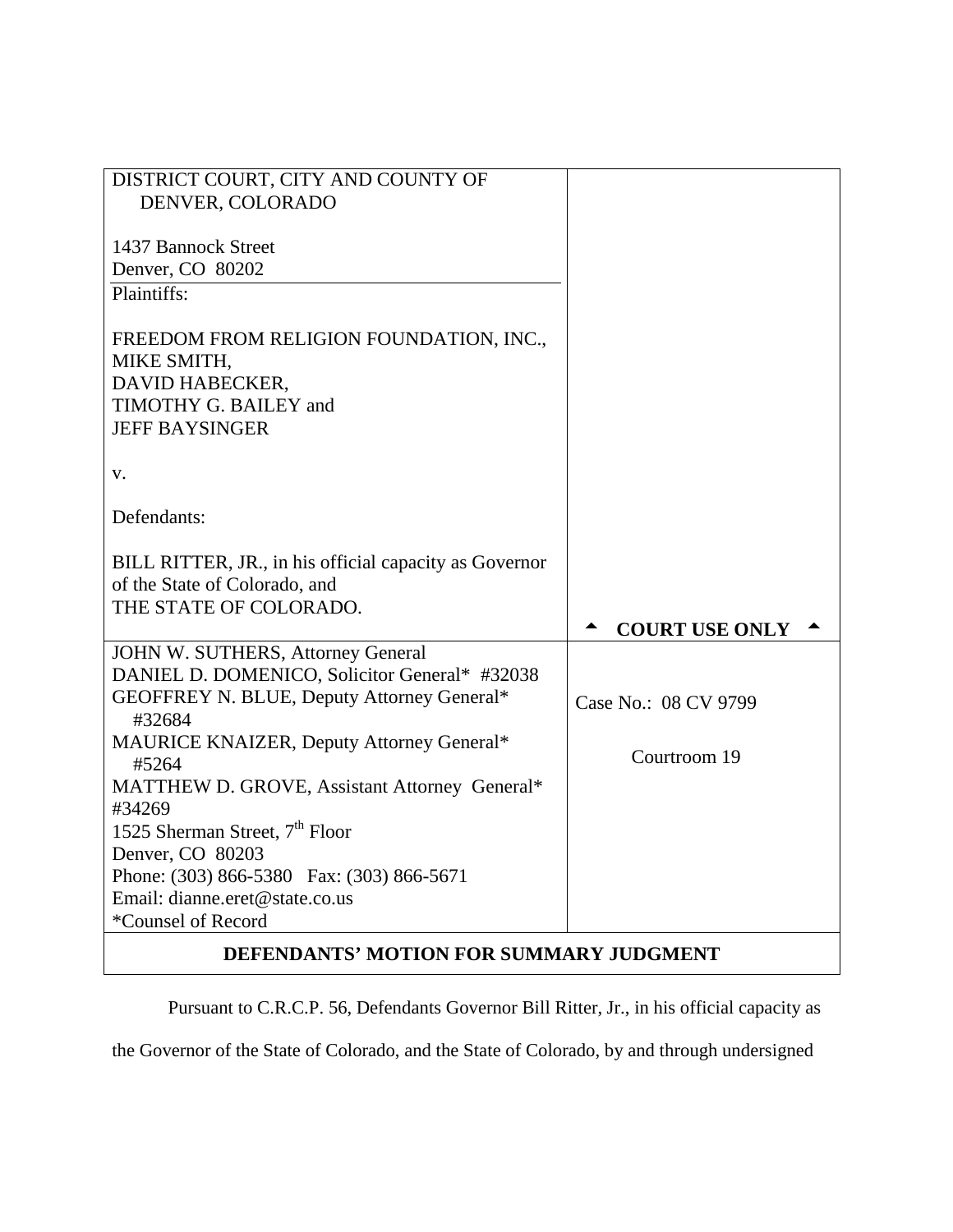| DISTRICT COURT, CITY AND COUNTY OF                                                                                          |                                         |  |
|-----------------------------------------------------------------------------------------------------------------------------|-----------------------------------------|--|
| DENVER, COLORADO                                                                                                            |                                         |  |
| 1437 Bannock Street                                                                                                         |                                         |  |
| Denver, CO 80202                                                                                                            |                                         |  |
| Plaintiffs:                                                                                                                 |                                         |  |
| FREEDOM FROM RELIGION FOUNDATION, INC.,<br>MIKE SMITH,<br>DAVID HABECKER,<br>TIMOTHY G. BAILEY and<br><b>JEFF BAYSINGER</b> |                                         |  |
| V.                                                                                                                          |                                         |  |
| Defendants:                                                                                                                 |                                         |  |
| BILL RITTER, JR., in his official capacity as Governor<br>of the State of Colorado, and<br>THE STATE OF COLORADO.           | <b>COURT USE ONLY</b>                   |  |
| JOHN W. SUTHERS, Attorney General                                                                                           |                                         |  |
| DANIEL D. DOMENICO, Solicitor General* #32038                                                                               |                                         |  |
| GEOFFREY N. BLUE, Deputy Attorney General*<br>#32684                                                                        | Case No.: 08 CV 9799                    |  |
| MAURICE KNAIZER, Deputy Attorney General*<br>#5264                                                                          | Courtroom 19                            |  |
| MATTHEW D. GROVE, Assistant Attorney General*                                                                               |                                         |  |
| #34269                                                                                                                      |                                         |  |
| 1525 Sherman Street, $7th$ Floor                                                                                            |                                         |  |
| Denver, CO 80203                                                                                                            |                                         |  |
| Phone: (303) 866-5380 Fax: (303) 866-5671                                                                                   |                                         |  |
| Email: dianne.eret@state.co.us                                                                                              |                                         |  |
| *Counsel of Record                                                                                                          |                                         |  |
|                                                                                                                             | DEFENDANTS' MOTION FOR SUMMARY JUDGMENT |  |

Pursuant to C.R.C.P. 56, Defendants Governor Bill Ritter, Jr., in his official capacity as

the Governor of the State of Colorado, and the State of Colorado, by and through undersigned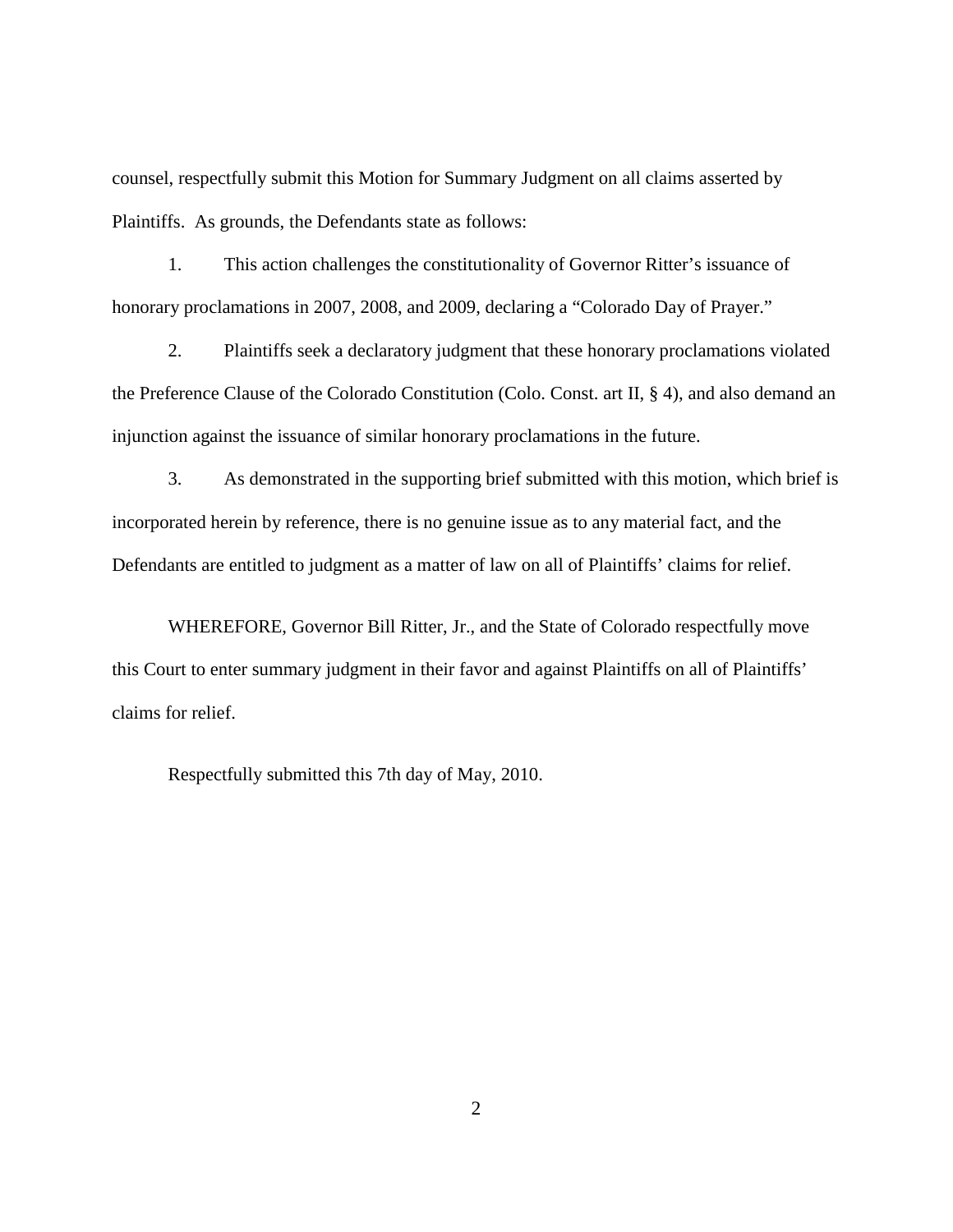counsel, respectfully submit this Motion for Summary Judgment on all claims asserted by Plaintiffs. As grounds, the Defendants state as follows:

1. This action challenges the constitutionality of Governor Ritter's issuance of honorary proclamations in 2007, 2008, and 2009, declaring a "Colorado Day of Prayer."

2. Plaintiffs seek a declaratory judgment that these honorary proclamations violated the Preference Clause of the Colorado Constitution (Colo. Const. art II, § 4), and also demand an injunction against the issuance of similar honorary proclamations in the future.

3. As demonstrated in the supporting brief submitted with this motion, which brief is incorporated herein by reference, there is no genuine issue as to any material fact, and the Defendants are entitled to judgment as a matter of law on all of Plaintiffs' claims for relief.

WHEREFORE, Governor Bill Ritter, Jr., and the State of Colorado respectfully move this Court to enter summary judgment in their favor and against Plaintiffs on all of Plaintiffs' claims for relief.

Respectfully submitted this 7th day of May, 2010.

2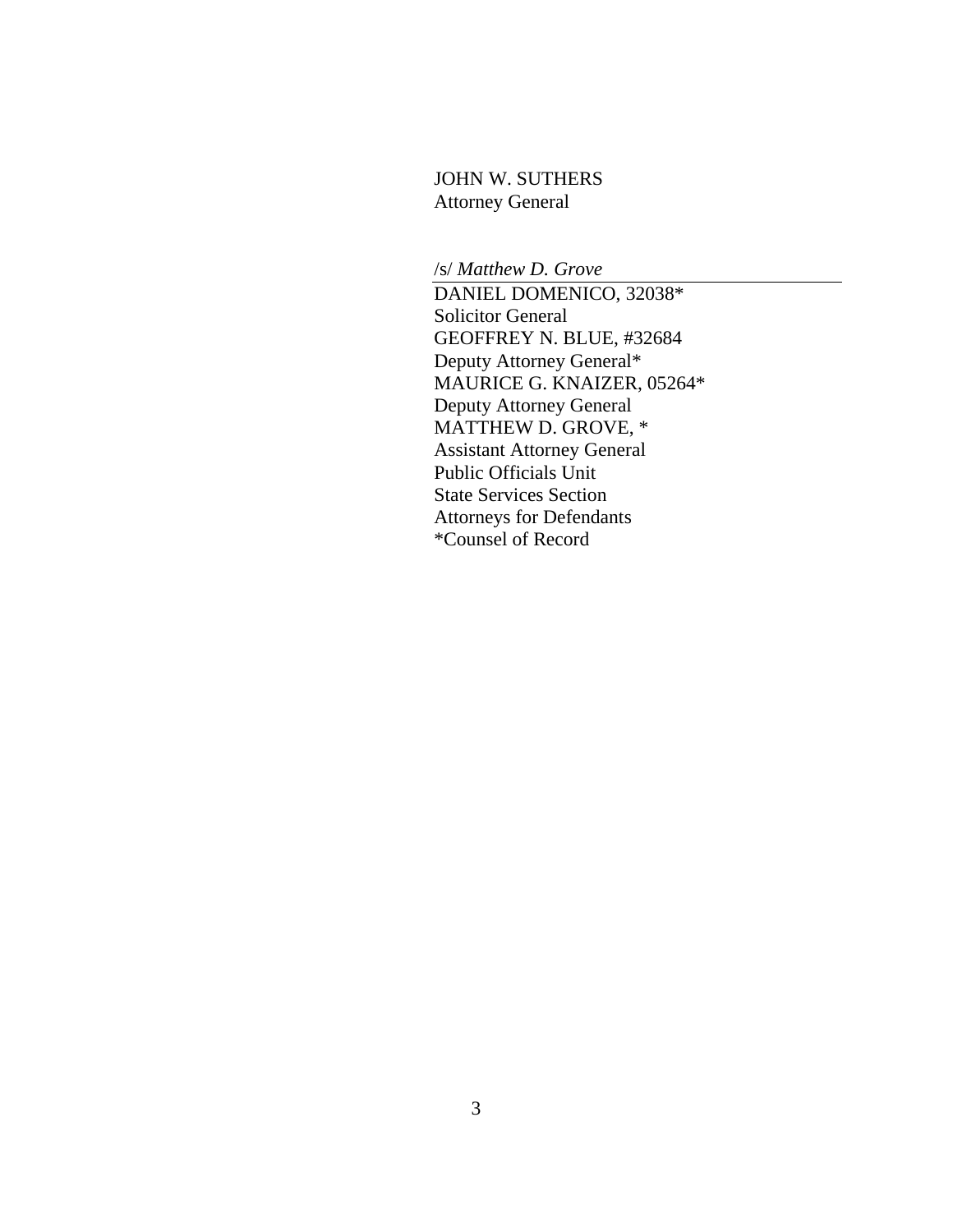## JOHN W. SUTHERS Attorney General

/s/ *Matthew D. Grove*

DANIEL DOMENICO, 32038\* Solicitor General GEOFFREY N. BLUE, #32684 Deputy Attorney General\* MAURICE G. KNAIZER, 05264\* Deputy Attorney General MATTHEW D. GROVE, \* Assistant Attorney General Public Officials Unit State Services Section Attorneys for Defendants \*Counsel of Record